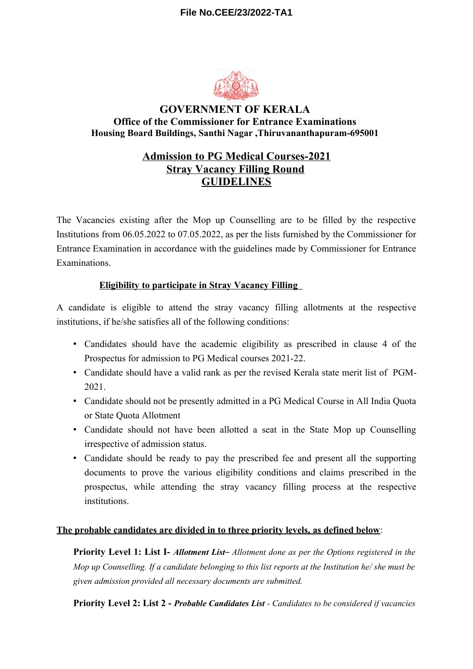## **File No.CEE/23/2022-TA1**



# **GOVERNMENT OF KERALA Office of the Commissioner for Entrance Examinations Housing Board Buildings, Santhi Nagar ,Thiruvananthapuram-695001**

# **Admission to PG Medical Courses-2021 Stray Vacancy Filling Round GUIDELINES**

The Vacancies existing after the Mop up Counselling are to be filled by the respective Institutions from 06.05.2022 to 07.05.2022, as per the lists furnished by the Commissioner for Entrance Examination in accordance with the guidelines made by Commissioner for Entrance Examinations.

# **Eligibility to participate in Stray Vacancy Filling**

A candidate is eligible to attend the stray vacancy filling allotments at the respective institutions, if he/she satisfies all of the following conditions:

- Candidates should have the academic eligibility as prescribed in clause 4 of the Prospectus for admission to PG Medical courses 2021-22.
- Candidate should have a valid rank as per the revised Kerala state merit list of PGM-2021.
- Candidate should not be presently admitted in a PG Medical Course in All India Quota or State Quota Allotment
- Candidate should not have been allotted a seat in the State Mop up Counselling irrespective of admission status.
- Candidate should be ready to pay the prescribed fee and present all the supporting documents to prove the various eligibility conditions and claims prescribed in the prospectus, while attending the stray vacancy filling process at the respective institutions.

#### **The probable candidates are divided in to three priority levels, as defined below**:

**Priority Level 1: List I-** *Allotment List– Allotment done as per the Options registered in the Mop up Counselling. If a candidate belonging to this list reports at the Institution he/ she must be given admission provided all necessary documents are submitted.*

**Priority Level 2: List 2 -** *Probable Candidates List - Candidates to be considered if vacancies*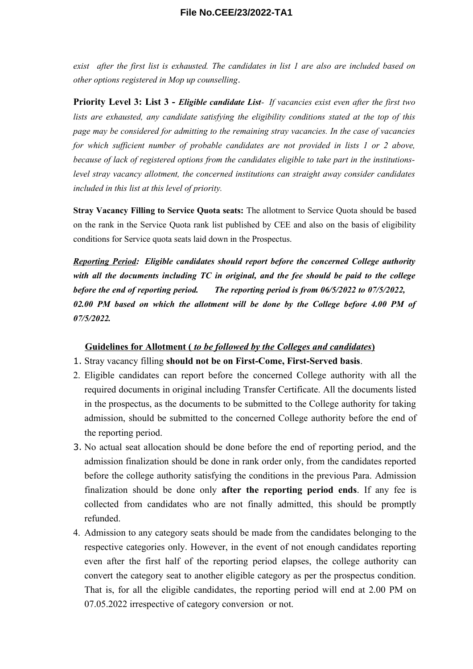*exist after the first list is exhausted. The candidates in list 1 are also are included based on other options registered in Mop up counselling*.

**Priority Level 3: List 3 -** *Eligible candidate List- If vacancies exist even after the first two lists are exhausted, any candidate satisfying the eligibility conditions stated at the top of this page may be considered for admitting to the remaining stray vacancies. In the case of vacancies for which sufficient number of probable candidates are not provided in lists 1 or 2 above, because of lack of registered options from the candidates eligible to take part in the institutionslevel stray vacancy allotment, the concerned institutions can straight away consider candidates included in this list at this level of priority.* 

**Stray Vacancy Filling to Service Quota seats:** The allotment to Service Quota should be based on the rank in the Service Quota rank list published by CEE and also on the basis of eligibility conditions for Service quota seats laid down in the Prospectus.

*Reporting Period: Eligible candidates should report before the concerned College authority with all the documents including TC in original, and the fee should be paid to the college before the end of reporting period. The reporting period is from 06/5/2022 to 07/5/2022, 02.00 PM based on which the allotment will be done by the College before 4.00 PM of 07/5/2022.*

#### **Guidelines for Allotment (** *to be followed by the Colleges and candidates* **)**

- 1. Stray vacancy filling **should not be on First-Come, First-Served basis**.
- 2. Eligible candidates can report before the concerned College authority with all the required documents in original including Transfer Certificate. All the documents listed in the prospectus, as the documents to be submitted to the College authority for taking admission, should be submitted to the concerned College authority before the end of the reporting period.
- 3. No actual seat allocation should be done before the end of reporting period, and the admission finalization should be done in rank order only, from the candidates reported before the college authority satisfying the conditions in the previous Para. Admission finalization should be done only **after the reporting period ends**. If any fee is collected from candidates who are not finally admitted, this should be promptly refunded.
- 4. Admission to any category seats should be made from the candidates belonging to the respective categories only. However, in the event of not enough candidates reporting even after the first half of the reporting period elapses, the college authority can convert the category seat to another eligible category as per the prospectus condition. That is, for all the eligible candidates, the reporting period will end at 2.00 PM on 07.05.2022 irrespective of category conversion or not.